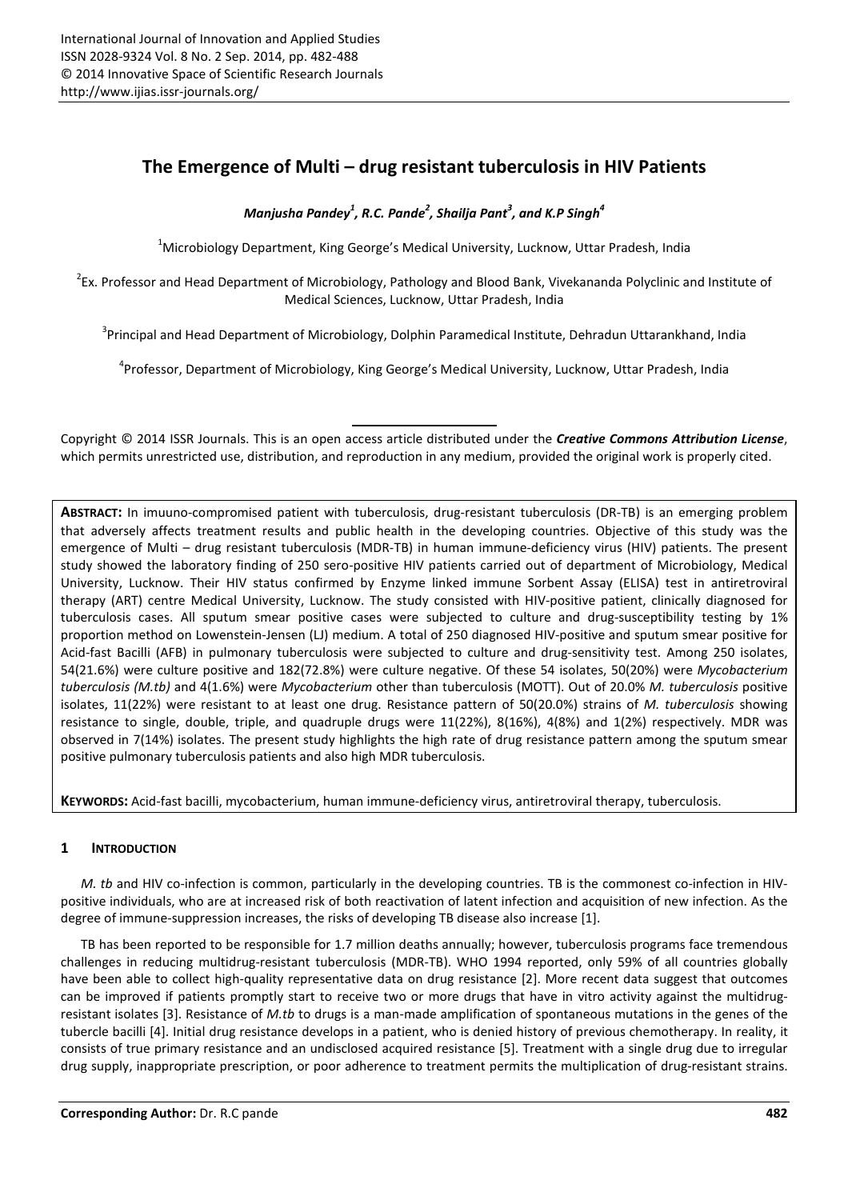# **The Emergence of Multi – drug resistant tuberculosis in HIV Patients**

*Manjusha Pandey<sup>1</sup> , R.C. Pande<sup>2</sup> , Shailja Pant<sup>3</sup> , and K.P Singh<sup>4</sup>*

<sup>1</sup>Microbiology Department, King George's Medical University, Lucknow, Uttar Pradesh, India

<sup>2</sup>Ex. Professor and Head Department of Microbiology, Pathology and Blood Bank, Vivekananda Polyclinic and Institute of Medical Sciences, Lucknow, Uttar Pradesh, India

<sup>3</sup>Principal and Head Department of Microbiology, Dolphin Paramedical Institute, Dehradun Uttarankhand, India

4 Professor, Department of Microbiology, King George's Medical University, Lucknow, Uttar Pradesh, India

Copyright © 2014 ISSR Journals. This is an open access article distributed under the *Creative Commons Attribution License*, which permits unrestricted use, distribution, and reproduction in any medium, provided the original work is properly cited.

**ABSTRACT:** In imuuno-compromised patient with tuberculosis, drug-resistant tuberculosis (DR-TB) is an emerging problem that adversely affects treatment results and public health in the developing countries. Objective of this study was the emergence of Multi – drug resistant tuberculosis (MDR-TB) in human immune-deficiency virus (HIV) patients. The present study showed the laboratory finding of 250 sero-positive HIV patients carried out of department of Microbiology, Medical University, Lucknow. Their HIV status confirmed by Enzyme linked immune Sorbent Assay (ELISA) test in antiretroviral therapy (ART) centre Medical University, Lucknow. The study consisted with HIV-positive patient, clinically diagnosed for tuberculosis cases. All sputum smear positive cases were subjected to culture and drug-susceptibility testing by 1% proportion method on Lowenstein-Jensen (LJ) medium. A total of 250 diagnosed HIV-positive and sputum smear positive for Acid-fast Bacilli (AFB) in pulmonary tuberculosis were subjected to culture and drug-sensitivity test. Among 250 isolates, 54(21.6%) were culture positive and 182(72.8%) were culture negative. Of these 54 isolates, 50(20%) were *Mycobacterium tuberculosis (M.tb)* and 4(1.6%) were *Mycobacterium* other than tuberculosis (MOTT). Out of 20.0% *M. tuberculosis* positive isolates, 11(22%) were resistant to at least one drug. Resistance pattern of 50(20.0%) strains of *M. tuberculosis* showing resistance to single, double, triple, and quadruple drugs were 11(22%), 8(16%), 4(8%) and 1(2%) respectively. MDR was observed in 7(14%) isolates. The present study highlights the high rate of drug resistance pattern among the sputum smear positive pulmonary tuberculosis patients and also high MDR tuberculosis.

**KEYWORDS:** Acid-fast bacilli, mycobacterium, human immune-deficiency virus, antiretroviral therapy, tuberculosis.

# **1 INTRODUCTION**

*M. tb* and HIV co-infection is common, particularly in the developing countries. TB is the commonest co-infection in HIVpositive individuals, who are at increased risk of both reactivation of latent infection and acquisition of new infection. As the degree of immune-suppression increases, the risks of developing TB disease also increase [1].

TB has been reported to be responsible for 1.7 million deaths annually; however, tuberculosis programs face tremendous challenges in reducing multidrug-resistant tuberculosis (MDR-TB). WHO 1994 reported, only 59% of all countries globally have been able to collect high-quality representative data on drug resistance [2]. More recent data suggest that outcomes can be improved if patients promptly start to receive two or more drugs that have in vitro activity against the multidrugresistant isolates [3]. Resistance of *M.tb* to drugs is a man-made amplification of spontaneous mutations in the genes of the tubercle bacilli [4]. Initial drug resistance develops in a patient, who is denied history of previous chemotherapy. In reality, it consists of true primary resistance and an undisclosed acquired resistance [5]. Treatment with a single drug due to irregular drug supply, inappropriate prescription, or poor adherence to treatment permits the multiplication of drug-resistant strains.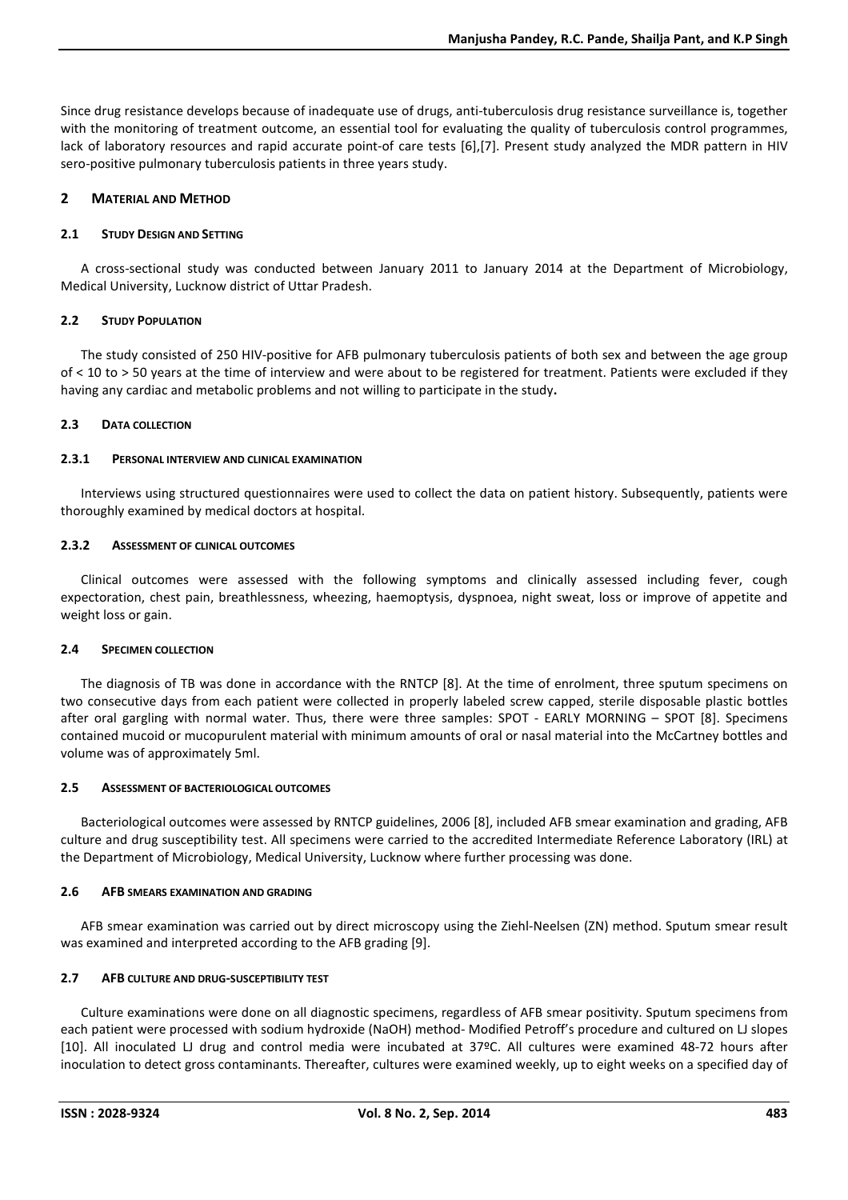Since drug resistance develops because of inadequate use of drugs, anti-tuberculosis drug resistance surveillance is, together with the monitoring of treatment outcome, an essential tool for evaluating the quality of tuberculosis control programmes, lack of laboratory resources and rapid accurate point-of care tests [6],[7]. Present study analyzed the MDR pattern in HIV sero-positive pulmonary tuberculosis patients in three years study.

# **2 MATERIAL AND METHOD**

## **2.1 STUDY DESIGN AND SETTING**

A cross-sectional study was conducted between January 2011 to January 2014 at the Department of Microbiology, Medical University, Lucknow district of Uttar Pradesh.

## **2.2 STUDY POPULATION**

The study consisted of 250 HIV-positive for AFB pulmonary tuberculosis patients of both sex and between the age group of < 10 to > 50 years at the time of interview and were about to be registered for treatment. Patients were excluded if they having any cardiac and metabolic problems and not willing to participate in the study**.**

## **2.3 DATA COLLECTION**

## **2.3.1 PERSONAL INTERVIEW AND CLINICAL EXAMINATION**

Interviews using structured questionnaires were used to collect the data on patient history. Subsequently, patients were thoroughly examined by medical doctors at hospital.

## **2.3.2 ASSESSMENT OF CLINICAL OUTCOMES**

Clinical outcomes were assessed with the following symptoms and clinically assessed including fever, cough expectoration, chest pain, breathlessness, wheezing, haemoptysis, dyspnoea, night sweat, loss or improve of appetite and weight loss or gain.

# **2.4 SPECIMEN COLLECTION**

The diagnosis of TB was done in accordance with the RNTCP [8]. At the time of enrolment, three sputum specimens on two consecutive days from each patient were collected in properly labeled screw capped, sterile disposable plastic bottles after oral gargling with normal water. Thus, there were three samples: SPOT - EARLY MORNING – SPOT [8]. Specimens contained mucoid or mucopurulent material with minimum amounts of oral or nasal material into the McCartney bottles and volume was of approximately 5ml.

# **2.5 ASSESSMENT OF BACTERIOLOGICAL OUTCOMES**

Bacteriological outcomes were assessed by RNTCP guidelines, 2006 [8], included AFB smear examination and grading, AFB culture and drug susceptibility test. All specimens were carried to the accredited Intermediate Reference Laboratory (IRL) at the Department of Microbiology, Medical University, Lucknow where further processing was done.

# **2.6 AFB SMEARS EXAMINATION AND GRADING**

AFB smear examination was carried out by direct microscopy using the Ziehl-Neelsen (ZN) method. Sputum smear result was examined and interpreted according to the AFB grading [9].

# **2.7 AFB CULTURE AND DRUG-SUSCEPTIBILITY TEST**

Culture examinations were done on all diagnostic specimens, regardless of AFB smear positivity. Sputum specimens from each patient were processed with sodium hydroxide (NaOH) method- Modified Petroff's procedure and cultured on LJ slopes [10]. All inoculated LJ drug and control media were incubated at 37ºC. All cultures were examined 48-72 hours after inoculation to detect gross contaminants. Thereafter, cultures were examined weekly, up to eight weeks on a specified day of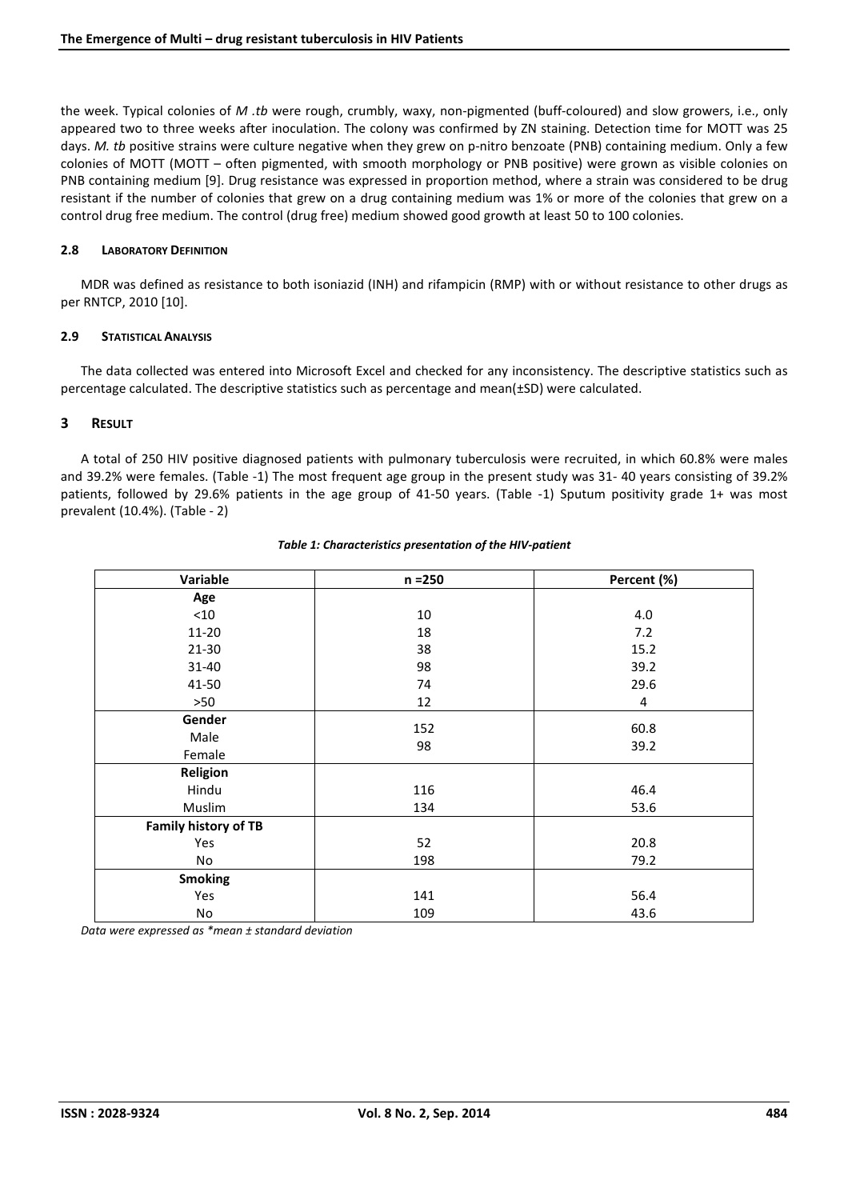the week. Typical colonies of *M .tb* were rough, crumbly, waxy, non-pigmented (buff-coloured) and slow growers, i.e., only appeared two to three weeks after inoculation. The colony was confirmed by ZN staining. Detection time for MOTT was 25 days. *M. tb* positive strains were culture negative when they grew on p-nitro benzoate (PNB) containing medium. Only a few colonies of MOTT (MOTT – often pigmented, with smooth morphology or PNB positive) were grown as visible colonies on PNB containing medium [9]. Drug resistance was expressed in proportion method, where a strain was considered to be drug resistant if the number of colonies that grew on a drug containing medium was 1% or more of the colonies that grew on a control drug free medium. The control (drug free) medium showed good growth at least 50 to 100 colonies.

## **2.8 LABORATORY DEFINITION**

MDR was defined as resistance to both isoniazid (INH) and rifampicin (RMP) with or without resistance to other drugs as per RNTCP, 2010 [10].

#### **2.9 STATISTICAL ANALYSIS**

The data collected was entered into Microsoft Excel and checked for any inconsistency. The descriptive statistics such as percentage calculated. The descriptive statistics such as percentage and mean(±SD) were calculated.

## **3 RESULT**

A total of 250 HIV positive diagnosed patients with pulmonary tuberculosis were recruited, in which 60.8% were males and 39.2% were females. (Table -1) The most frequent age group in the present study was 31- 40 years consisting of 39.2% patients, followed by 29.6% patients in the age group of 41-50 years. (Table -1) Sputum positivity grade 1+ was most prevalent (10.4%). (Table - 2)

| Variable                    | $n = 250$ | Percent (%) |
|-----------------------------|-----------|-------------|
| Age                         |           |             |
| < 10                        | 10        | 4.0         |
| 11-20                       | 18        | 7.2         |
| 21-30                       | 38        | 15.2        |
| 31-40                       | 98        | 39.2        |
| 41-50                       | 74        | 29.6        |
| >50                         | 12        | 4           |
| Gender                      |           |             |
| Male                        | 152       | 60.8        |
| Female                      | 98        | 39.2        |
| <b>Religion</b>             |           |             |
| Hindu                       | 116       | 46.4        |
| Muslim                      | 134       | 53.6        |
| <b>Family history of TB</b> |           |             |
| Yes                         | 52        | 20.8        |
| No                          | 198       | 79.2        |
| <b>Smoking</b>              |           |             |
| Yes                         | 141       | 56.4        |
| No                          | 109       | 43.6        |

#### *Table 1: Characteristics presentation of the HIV-patient*

*Data were expressed as \*mean ± standard deviation*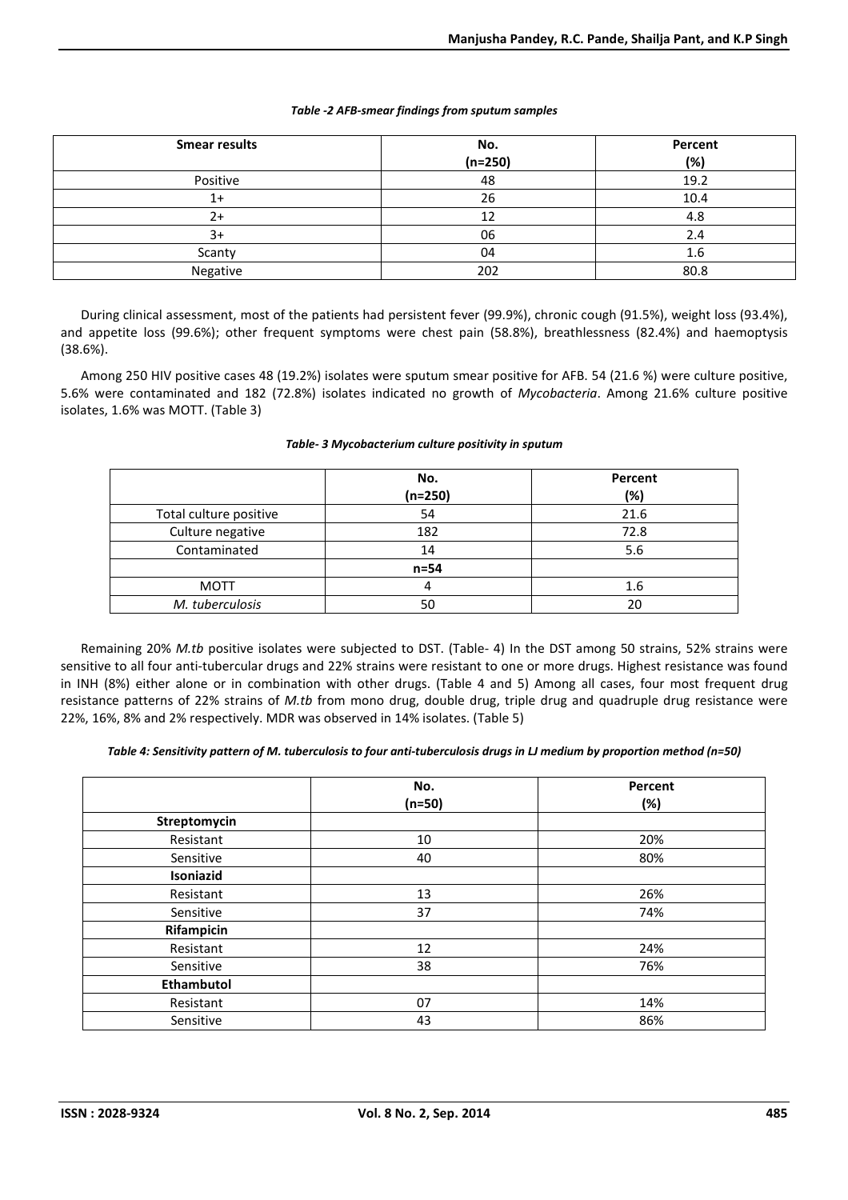#### *Table -2 AFB-smear findings from sputum samples*

| <b>Smear results</b> | No.<br>$(n=250)$ | Percent<br>(%) |
|----------------------|------------------|----------------|
| Positive             | 48               | 19.2           |
| 1+                   | 26               | 10.4           |
| 2+                   | 12               | 4.8            |
| 3+                   | 06               | 2.4            |
| Scanty               | 04               | 1.6            |
| Negative             | 202              | 80.8           |

During clinical assessment, most of the patients had persistent fever (99.9%), chronic cough (91.5%), weight loss (93.4%), and appetite loss (99.6%); other frequent symptoms were chest pain (58.8%), breathlessness (82.4%) and haemoptysis (38.6%).

Among 250 HIV positive cases 48 (19.2%) isolates were sputum smear positive for AFB. 54 (21.6 %) were culture positive, 5.6% were contaminated and 182 (72.8%) isolates indicated no growth of *Mycobacteria*. Among 21.6% culture positive isolates, 1.6% was MOTT. (Table 3)

|                        | No.       | Percent |
|------------------------|-----------|---------|
|                        | $(n=250)$ | (%)     |
| Total culture positive | 54        | 21.6    |
| Culture negative       | 182       | 72.8    |
| Contaminated           | 14        | 5.6     |
|                        | $n=54$    |         |
| <b>MOTT</b>            |           | 1.6     |
| M. tuberculosis        | 50        | 20      |

#### *Table- 3 Mycobacterium culture positivity in sputum*

Remaining 20% *M.tb* positive isolates were subjected to DST. (Table- 4) In the DST among 50 strains, 52% strains were sensitive to all four anti-tubercular drugs and 22% strains were resistant to one or more drugs. Highest resistance was found in INH (8%) either alone or in combination with other drugs. (Table 4 and 5) Among all cases, four most frequent drug resistance patterns of 22% strains of *M.tb* from mono drug, double drug, triple drug and quadruple drug resistance were 22%, 16%, 8% and 2% respectively. MDR was observed in 14% isolates. (Table 5)

#### *Table 4: Sensitivity pattern of M. tuberculosis to four anti-tuberculosis drugs in LJ medium by proportion method (n=50)*

|                   | No.      | Percent |
|-------------------|----------|---------|
|                   | $(n=50)$ | (%)     |
| Streptomycin      |          |         |
| Resistant         | 10       | 20%     |
| Sensitive         | 40       | 80%     |
| Isoniazid         |          |         |
| Resistant         | 13       | 26%     |
| Sensitive         | 37       | 74%     |
| Rifampicin        |          |         |
| Resistant         | 12       | 24%     |
| Sensitive         | 38       | 76%     |
| <b>Ethambutol</b> |          |         |
| Resistant         | 07       | 14%     |
| Sensitive         | 43       | 86%     |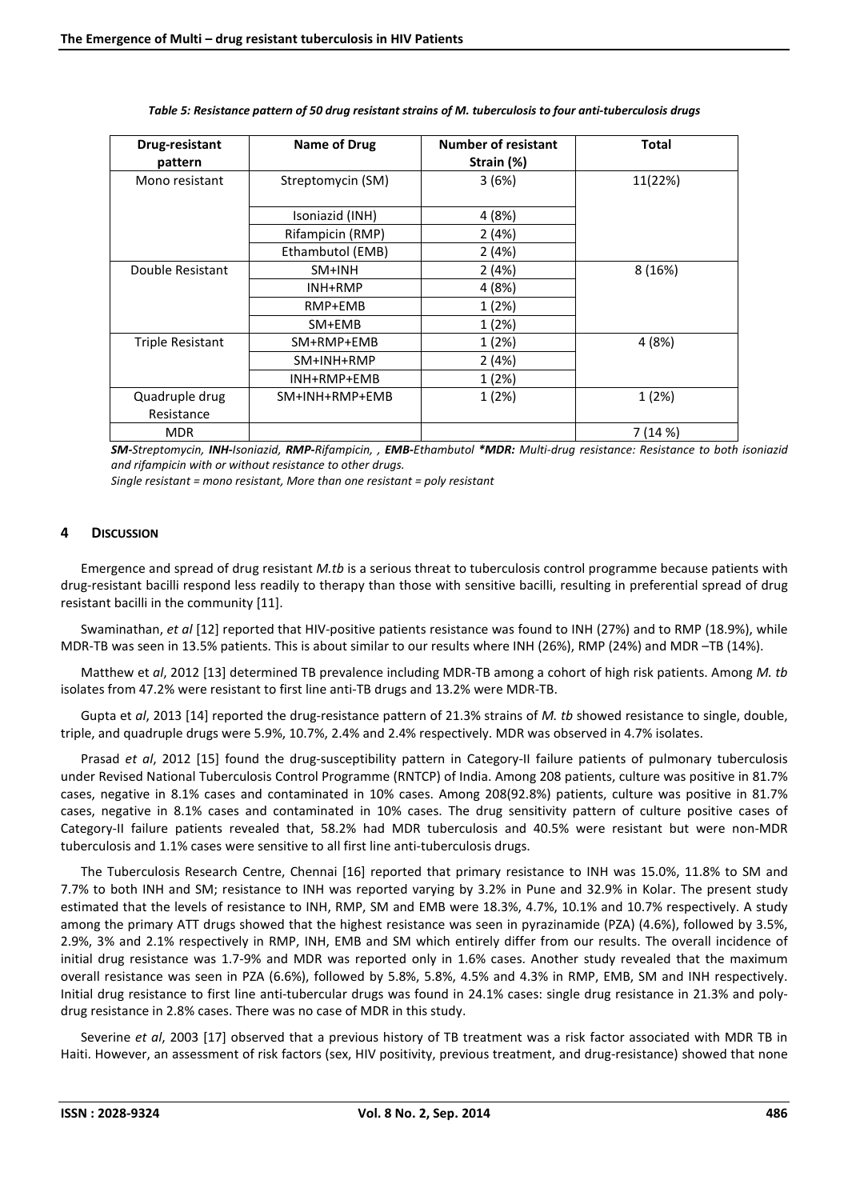| Drug-resistant<br>pattern | Name of Drug      | <b>Number of resistant</b><br>Strain (%) | <b>Total</b> |
|---------------------------|-------------------|------------------------------------------|--------------|
|                           |                   |                                          |              |
| Mono resistant            | Streptomycin (SM) | 3(6%)                                    | 11(22%)      |
|                           |                   |                                          |              |
|                           | Isoniazid (INH)   | 4 (8%)                                   |              |
|                           | Rifampicin (RMP)  | 2(4%)                                    |              |
|                           | Ethambutol (EMB)  | 2(4%)                                    |              |
| Double Resistant          | SM+INH            | 2(4%)                                    | 8 (16%)      |
|                           | INH+RMP           | 4 (8%)                                   |              |
|                           | RMP+EMB           | 1(2%)                                    |              |
|                           | SM+EMB            | 1(2%)                                    |              |
| <b>Triple Resistant</b>   | SM+RMP+EMB        | 1(2%)                                    | 4 (8%)       |
|                           | SM+INH+RMP        | 2(4%)                                    |              |
|                           | INH+RMP+EMB       | 1(2%)                                    |              |
| Quadruple drug            | SM+INH+RMP+EMB    | 1(2%)                                    | 1(2%)        |
| Resistance                |                   |                                          |              |
| <b>MDR</b>                |                   |                                          | 7(14%)       |

*Table 5: Resistance pattern of 50 drug resistant strains of M. tuberculosis to four anti-tuberculosis drugs*

*SM-Streptomycin, INH-Isoniazid, RMP-Rifampicin, , EMB-Ethambutol \*MDR: Multi-drug resistance: Resistance to both isoniazid and rifampicin with or without resistance to other drugs.* 

*Single resistant = mono resistant, More than one resistant = poly resistant* 

#### **4 DISCUSSION**

Emergence and spread of drug resistant *M.tb* is a serious threat to tuberculosis control programme because patients with drug-resistant bacilli respond less readily to therapy than those with sensitive bacilli, resulting in preferential spread of drug resistant bacilli in the community [11].

Swaminathan, *et al* [12] reported that HIV-positive patients resistance was found to INH (27%) and to RMP (18.9%), while MDR-TB was seen in 13.5% patients. This is about similar to our results where INH (26%), RMP (24%) and MDR –TB (14%).

Matthew et *al*, 2012 [13] determined TB prevalence including MDR-TB among a cohort of high risk patients. Among *M. tb* isolates from 47.2% were resistant to first line anti-TB drugs and 13.2% were MDR-TB.

Gupta et *al*, 2013 [14] reported the drug-resistance pattern of 21.3% strains of *M. tb* showed resistance to single, double, triple, and quadruple drugs were 5.9%, 10.7%, 2.4% and 2.4% respectively. MDR was observed in 4.7% isolates.

Prasad *et al*, 2012 [15] found the drug-susceptibility pattern in Category-II failure patients of pulmonary tuberculosis under Revised National Tuberculosis Control Programme (RNTCP) of India. Among 208 patients, culture was positive in 81.7% cases, negative in 8.1% cases and contaminated in 10% cases. Among 208(92.8%) patients, culture was positive in 81.7% cases, negative in 8.1% cases and contaminated in 10% cases. The drug sensitivity pattern of culture positive cases of Category-II failure patients revealed that, 58.2% had MDR tuberculosis and 40.5% were resistant but were non-MDR tuberculosis and 1.1% cases were sensitive to all first line anti-tuberculosis drugs.

The Tuberculosis Research Centre, Chennai [16] reported that primary resistance to INH was 15.0%, 11.8% to SM and 7.7% to both INH and SM; resistance to INH was reported varying by 3.2% in Pune and 32.9% in Kolar. The present study estimated that the levels of resistance to INH, RMP, SM and EMB were 18.3%, 4.7%, 10.1% and 10.7% respectively. A study among the primary ATT drugs showed that the highest resistance was seen in pyrazinamide (PZA) (4.6%), followed by 3.5%, 2.9%, 3% and 2.1% respectively in RMP, INH, EMB and SM which entirely differ from our results. The overall incidence of initial drug resistance was 1.7-9% and MDR was reported only in 1.6% cases. Another study revealed that the maximum overall resistance was seen in PZA (6.6%), followed by 5.8%, 5.8%, 4.5% and 4.3% in RMP, EMB, SM and INH respectively. Initial drug resistance to first line anti-tubercular drugs was found in 24.1% cases: single drug resistance in 21.3% and polydrug resistance in 2.8% cases. There was no case of MDR in this study.

Severine *et al*, 2003 [17] observed that a previous history of TB treatment was a risk factor associated with MDR TB in Haiti. However, an assessment of risk factors (sex, HIV positivity, previous treatment, and drug-resistance) showed that none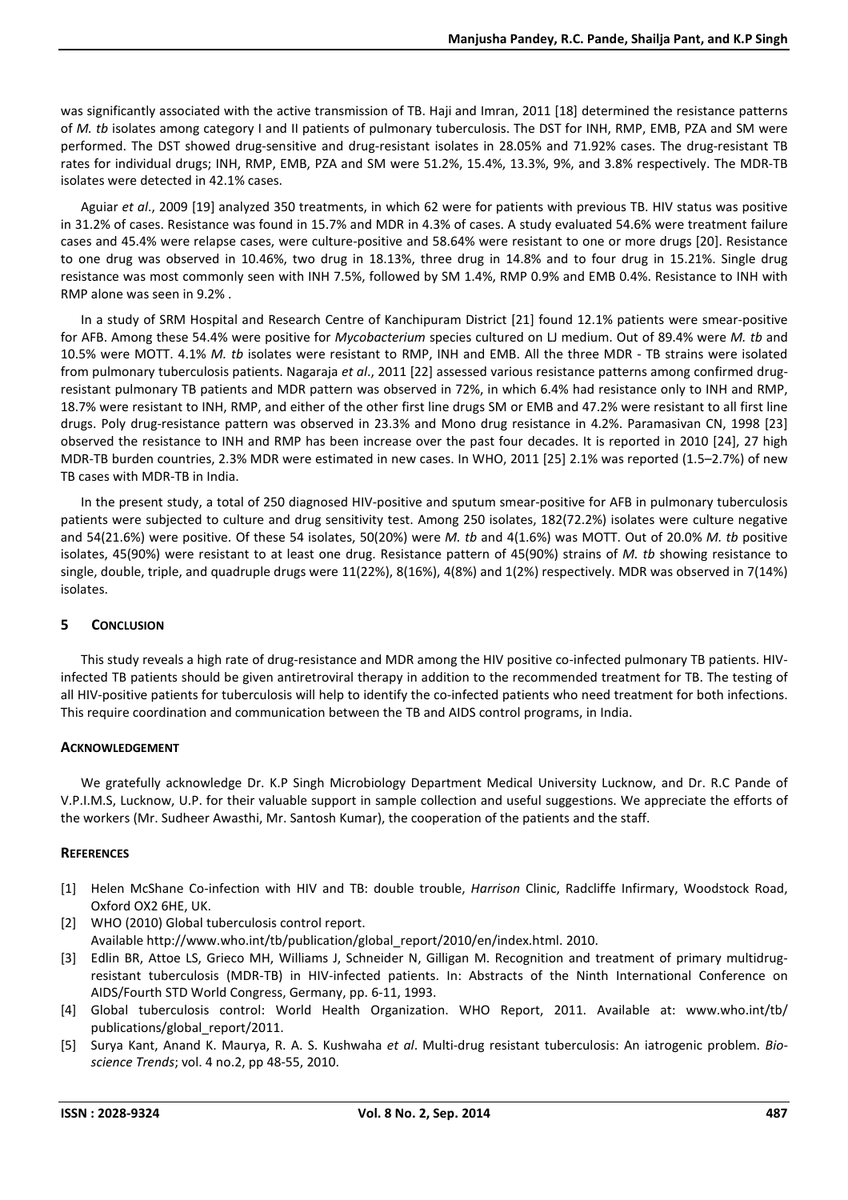was significantly associated with the active transmission of TB. Haji and Imran, 2011 [18] determined the resistance patterns of *M. tb* isolates among category I and II patients of pulmonary tuberculosis. The DST for INH, RMP, EMB, PZA and SM were performed. The DST showed drug-sensitive and drug-resistant isolates in 28.05% and 71.92% cases. The drug-resistant TB rates for individual drugs; INH, RMP, EMB, PZA and SM were 51.2%, 15.4%, 13.3%, 9%, and 3.8% respectively. The MDR-TB isolates were detected in 42.1% cases.

Aguiar *et al*., 2009 [19] analyzed 350 treatments, in which 62 were for patients with previous TB. HIV status was positive in 31.2% of cases. Resistance was found in 15.7% and MDR in 4.3% of cases. A study evaluated 54.6% were treatment failure cases and 45.4% were relapse cases, were culture-positive and 58.64% were resistant to one or more drugs [20]. Resistance to one drug was observed in 10.46%, two drug in 18.13%, three drug in 14.8% and to four drug in 15.21%. Single drug resistance was most commonly seen with INH 7.5%, followed by SM 1.4%, RMP 0.9% and EMB 0.4%. Resistance to INH with RMP alone was seen in 9.2% .

In a study of SRM Hospital and Research Centre of Kanchipuram District [21] found 12.1% patients were smear-positive for AFB. Among these 54.4% were positive for *Mycobacterium* species cultured on LJ medium. Out of 89.4% were *M. tb* and 10.5% were MOTT. 4.1% *M. tb* isolates were resistant to RMP, INH and EMB. All the three MDR - TB strains were isolated from pulmonary tuberculosis patients. Nagaraja *et al*., 2011 [22] assessed various resistance patterns among confirmed drugresistant pulmonary TB patients and MDR pattern was observed in 72%, in which 6.4% had resistance only to INH and RMP, 18.7% were resistant to INH, RMP, and either of the other first line drugs SM or EMB and 47.2% were resistant to all first line drugs. Poly drug-resistance pattern was observed in 23.3% and Mono drug resistance in 4.2%. Paramasivan CN, 1998 [23] observed the resistance to INH and RMP has been increase over the past four decades. It is reported in 2010 [24], 27 high MDR-TB burden countries, 2.3% MDR were estimated in new cases. In WHO, 2011 [25] 2.1% was reported (1.5–2.7%) of new TB cases with MDR-TB in India.

In the present study, a total of 250 diagnosed HIV-positive and sputum smear-positive for AFB in pulmonary tuberculosis patients were subjected to culture and drug sensitivity test. Among 250 isolates, 182(72.2%) isolates were culture negative and 54(21.6%) were positive. Of these 54 isolates, 50(20%) were *M. tb* and 4(1.6%) was MOTT. Out of 20.0% *M. tb* positive isolates, 45(90%) were resistant to at least one drug. Resistance pattern of 45(90%) strains of *M. tb* showing resistance to single, double, triple, and quadruple drugs were 11(22%), 8(16%), 4(8%) and 1(2%) respectively. MDR was observed in 7(14%) isolates.

# **5 CONCLUSION**

This study reveals a high rate of drug-resistance and MDR among the HIV positive co-infected pulmonary TB patients. HIVinfected TB patients should be given antiretroviral therapy in addition to the recommended treatment for TB. The testing of all HIV-positive patients for tuberculosis will help to identify the co-infected patients who need treatment for both infections. This require coordination and communication between the TB and AIDS control programs, in India.

# **ACKNOWLEDGEMENT**

We gratefully acknowledge Dr. K.P Singh Microbiology Department Medical University Lucknow, and Dr. R.C Pande of V.P.I.M.S, Lucknow, U.P. for their valuable support in sample collection and useful suggestions. We appreciate the efforts of the workers (Mr. Sudheer Awasthi, Mr. Santosh Kumar), the cooperation of the patients and the staff.

# **REFERENCES**

- [1] Helen McShane Co-infection with HIV and TB: double trouble, *Harrison* Clinic, Radcliffe Infirmary, Woodstock Road, Oxford OX2 6HE, UK.
- [2] WHO (2010) Global tuberculosis control report. Available http://www.who.int/tb/publication/global\_report/2010/en/index.html. 2010.
- [3] Edlin BR, Attoe LS, Grieco MH, Williams J, Schneider N, Gilligan M. Recognition and treatment of primary multidrugresistant tuberculosis (MDR-TB) in HIV-infected patients. In: Abstracts of the Ninth International Conference on AIDS/Fourth STD World Congress, Germany, pp. 6-11, 1993.
- [4] Global tuberculosis control: World Health Organization. WHO Report, 2011. Available at: www.who.int/tb/ publications/global\_report/2011.
- [5] Surya Kant, Anand K. Maurya, R. A. S. Kushwaha *et al*. Multi-drug resistant tuberculosis: An iatrogenic problem. *Bioscience Trends*; vol. 4 no.2, pp 48-55, 2010.